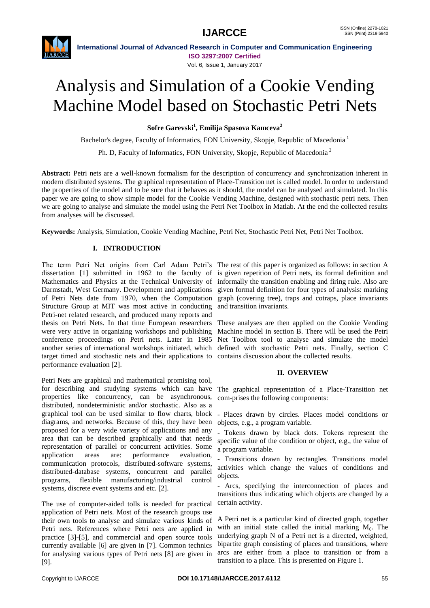

**International Journal of Advanced Research in Computer and Communication Engineering ISO 3297:2007 Certified** Vol. 6, Issue 1, January 2017

# Analysis and Simulation of a Cookie Vending Machine Model based on Stochastic Petri Nets

**Sofre Garevski<sup>1</sup> , Emilija Spasova Kamceva<sup>2</sup>**

Bachelor's degree, Faculty of Informatics, FON University, Skopje, Republic of Macedonia<sup>1</sup> Ph. D, Faculty of Informatics, FON University, Skopje, Republic of Macedonia <sup>2</sup>

**Abstract:** Petri nets are a well-known formalism for the description of concurrency and synchronization inherent in modern distributed systems. The graphical representation of Place-Transition net is called model. In order to understand the properties of the model and to be sure that it behaves as it should, the model can be analysed and simulated. In this paper we are going to show simple model for the Cookie Vending Machine, designed with stochastic petri nets. Then we are going to analyse and simulate the model using the Petri Net Toolbox in Matlab. At the end the collected results from analyses will be discussed.

**Keywords:** Analysis, Simulation, Cookie Vending Machine, Petri Net, Stochastic Petri Net, Petri Net Toolbox.

# **I. INTRODUCTION**

The term Petri Net origins from Carl Adam Petri's The rest of this paper is organized as follows: in section A dissertation [1] submitted in 1962 to the faculty of is given repetition of Petri nets, its formal definition and Mathematics and Physics at the Technical University of informally the transition enabling and firing rule. Also are Darmstadt, West Germany. Development and applications given formal definition for four types of analysis: marking of Petri Nets date from 1970, when the Computation graph (covering tree), traps and cotraps, place invariants Structure Group at MIT was most active in conducting Petri-net related research, and produced many reports and thesis on Petri Nets. In that time European researchers were very active in organizing workshops and publishing conference proceedings on Petri nets. Later in 1985 another series of international workshops initiated, which target timed and stochastic nets and their applications to performance evaluation [2].

Petri Nets are graphical and mathematical promising tool, for describing and studying systems which can have properties like concurrency, can be asynchronous, distributed, nondeterministic and/or stochastic. Also as a graphical tool can be used similar to flow charts, block diagrams, and networks. Because of this, they have been proposed for a very wide variety of applications and any area that can be described graphically and that needs representation of parallel or concurrent activities. Some application areas are: performance evaluation, communication protocols, distributed-software systems, distributed-database systems, concurrent and parallel programs, flexible manufacturing/industrial control systems, discrete event systems and etc. [2].

The use of computer-aided tolls is needed for practical application of Petri nets. Most of the research groups use their own tools to analyse and simulate various kinds of Petri nets. References where Petri nets are applied in practice [3]-[5], and commercial and open source tools currently available [6] are given in [7]. Common technics for analysing various types of Petri nets [8] are given in [9].

and transition invariants.

These analyses are then applied on the Cookie Vending Machine model in section B. There will be used the Petri Net Toolbox tool to analyse and simulate the model defined with stochastic Petri nets. Finally, section C contains discussion about the collected results.

# **II. OVERVIEW**

The graphical representation of a Place-Transition net com-prises the following components:

- Places drawn by circles. Places model conditions or objects, e.g., a program variable.

Tokens drawn by black dots. Tokens represent the specific value of the condition or object, e.g., the value of a program variable.

- Transitions drawn by rectangles. Transitions model activities which change the values of conditions and objects.

Arcs, specifying the interconnection of places and transitions thus indicating which objects are changed by a certain activity.

A Petri net is a particular kind of directed graph, together with an initial state called the initial marking  $M_0$ . The underlying graph N of a Petri net is a directed, weighted, bipartite graph consisting of places and transitions, where arcs are either from a place to transition or from a transition to a place. This is presented on Figure 1.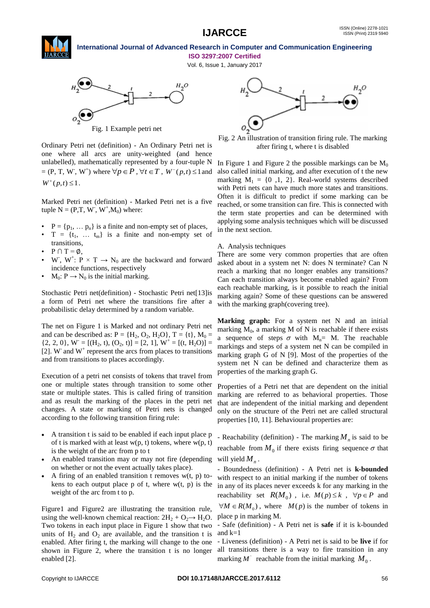Vol. 6, Issue 1, January 2017



Ordinary Petri net (definition) - An Ordinary Petri net is one where all arcs are unity-weighted (and hence unlabelled), mathematically represented by a four-tuple N  $p = (P, T, W^{\dagger}, W^{\dagger})$  where  $\forall p \in P$ ,  $\forall t \in T$ ,  $W^-(p, t) \leq 1$  and

 $W^+(p,t) \leq 1$ .

Marked Petri net (definition) - Marked Petri net is a five tuple  $N = (P, T, W^{\dagger}, W^{\dagger}, M_0)$  where:

- $P = \{p_1, \dots, p_n\}$  is a finite and non-empty set of places,
- $T = \{t_1, \ldots, t_m\}$  is a finite and non-empty set of transitions,
- $P \cap T = \emptyset$ .
- W, W<sup>+</sup>:  $P \times T \rightarrow N_0$  are the backward and forward incidence functions, respectively
- $M_0: P \to N_0$  is the initial marking.

Stochastic Petri net(definition) - Stochastic Petri net[13]is a form of Petri net where the transitions fire after a probabilistic delay determined by a random variable.

The net on Figure 1 is Marked and not ordinary Petri net and can be described as:  $P = {H_2, O_2, H_2O}, T = {t}, M_0 =$  ${2, 2, 0}$ ,  $W = [(H_2, t), (O_2, t)] = [2, 1]$ ,  $W^+ = [(t, H_2O)] =$ [2]. W and  $W^+$  represent the arcs from places to transitions and from transitions to places accordingly.

Execution of a petri net consists of tokens that travel from one or multiple states through transition to some other state or multiple states. This is called firing of transition and as result the marking of the places in the petri net changes. A state or marking of Petri nets is changed according to the following transition firing rule:

- A transition t is said to be enabled if each input place p of t is marked with at least  $w(p, t)$  tokens, where  $w(p, t)$ is the weight of the arc from p to t
- An enabled transition may or may not fire (depending on whether or not the event actually takes place).
- A firing of an enabled transition t removes  $w(t, p)$  tokens to each output place  $p$  of t, where  $w(t, p)$  is the weight of the arc from t to p.

Figure1 and Figure2 are illustrating the transition rule, using the well-known chemical reaction:  $2H_2 + O_2 \rightarrow H_2O$ . Two tokens in each input place in Figure 1 show that two units of  $H_2$  and  $O_2$  are available, and the transition t is enabled. After firing t, the marking will change to the one shown in Figure 2, where the transition t is no longer enabled [2].



Fig. 2 An illustration of transition firing rule. The marking after firing t, where t is disabled

In Figure 1 and Figure 2 the possible markings can be  $M_0$ also called initial marking, and after execution of t the new marking  $M_1 = \{0, 1, 2\}$ . Real-world systems described with Petri nets can have much more states and transitions. Often it is difficult to predict if some marking can be reached, or some transition can fire. This is connected with the term state properties and can be determined with applying some analysis techniques which will be discussed in the next section.

#### A. Analysis techniques

There are some very common properties that are often asked about in a system net N: does N terminate? Can N reach a marking that no longer enables any transitions? Can each transition always become enabled again? From each reachable marking, is it possible to reach the initial marking again? Some of these questions can be answered with the marking graph(covering tree).

Marking graph: For a system net N and an initial marking  $M_0$ , a marking M of N is reachable if there exists a sequence of steps  $\sigma$  with  $M_n=$  M. The reachable markings and steps of a system net N can be compiled in marking graph G of N [9]. Most of the properties of the system net N can be defined and characterize them as properties of the marking graph G.

Properties of a Petri net that are dependent on the initial marking are referred to as behavioral properties. Those that are independent of the initial marking and dependent only on the structure of the Petri net are called structural properties [10, 11]. Behavioural properties are:

- Reachability (definition) - The marking  $M_n$  is said to be reachable from  $M_0$  if there exists firing sequence  $\sigma$  that will yield  $M_n$ .

- Boundedness (definition) - A Petri net is **k-bounded** with respect to an initial marking if the number of tokens in any of its places never exceeds k for any marking in the reachability set  $R(M_0)$ , i.e.  $M(p) \le k$ ,  $\forall p \in P$  and  $\forall M \in R(M_0)$ , where  $M(p)$  is the number of tokens in place p in marking M.

- Safe (definition) - A Petri net is **safe** if it is k-bounded and k=1

- Liveness (definition) - A Petri net is said to be **live** if for all transitions there is a way to fire transition in any marking  $M'$  reachable from the initial marking  $M_0$ .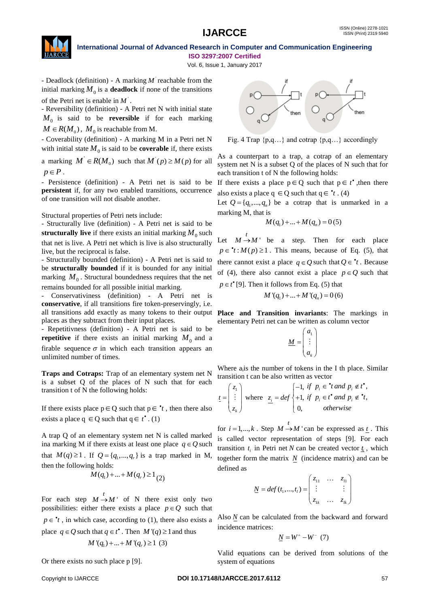

Vol. 6, Issue 1, January 2017

- Deadlock (definition) - A marking M reachable from the initial marking  $M_0$  is a **deadlock** if none of the transitions of the Petri net is enable in ' *M* .

- Reversibility (definition) - A Petri net N with initial state *M*<sup>0</sup> is said to be **reversible** if for each marking  $M \in R(M_0)$ ,  $M_0$  is reachable from M.

- Coverability (definition) - A marking M in a Petri net N with initial state  $M_0$  is said to be **coverable** if, there exists

a marking  $M \in R(M_0)$  such that  $M'(p) \ge M(p)$  for all  $p \in P$ .

- Persistence (definition) - A Petri net is said to be **persistent** if, for any two enabled transitions, occurrence of one transition will not disable another.

Structural properties of Petri nets include:

- Structurally live (definition) - A Petri net is said to be **structurally live** if there exists an initial marking  $M_0$  such that net is live. A Petri net which is live is also structurally live, but the reciprocal is false.

- Structurally bounded (definition) - A Petri net is said to be **structurally bounded** if it is bounded for any initial marking  $M_0$ . Structural boundedness requires that the net remains bounded for all possible initial marking.

- Conservativiness (definition) - A Petri net is **conservative**, if all transitions fire token-preservingly, i.e. all transitions add exactly as many tokens to their output places as they subtract from their input places.

- Repetitivness (definition) - A Petri net is said to be **repetitive** if there exists an initial marking  $M_0$  and a firable sequence  $\sigma$  in which each transition appears an unlimited number of times.

**Traps and Cotraps:** Trap of an elementary system net N is a subset Q of the places of N such that for each transition t of N the following holds:

If there exists place  $p \in Q$  such that  $p \in \text{'}t$ , then there also exists a place  $q \in Q$  such that  $q \in t^{\bullet}$ . (1)

A trap Q of an elementary system net N is called marked ina marking M if there exists at least one place  $q \in Q$  such that  $M(q) \ge 1$ . If  $Q = \{q_1, ..., q_r\}$  is a trap marked in M, then the following holds:

$$
M(q_1) + ... + M(q_r) \ge 1_{(2)}
$$

For each step  $M \to M'$  of N there exist only two possibilities: either there exists a place  $p \in Q$  such that  $p \in \mathbf{t}$ , in which case, according to (1), there also exists a place  $q \in Q$  such that  $q \in t^*$ . Then  $M'(q) \ge 1$  and thus  $M'(q_1) + ... + M'(q_r) \ge 1$  (3)

Or there exists no such place p [9].



Fig. 4 Trap  $\{p,q...\}$  and cotrap  $\{p,q...\}$  accordingly

As a counterpart to a trap, a cotrap of an elementary system net N is a subset Q of the places of N such that for each transition t of N the following holds:

If there exists a place  $p \in Q$  such that  $p \in t^*$ , then there also exists a place  $q \in Q$  such that  $q \in \mathbf{r}$ . (4)

Let  $Q = \{q_1, ..., q_n\}$  be a cotrap that is unmarked in a marking M, that is

$$
M(q_1) + ... + M(q_n) = 0(5)
$$

Let  $M \rightarrow M'$  be a step. Then for each place  $p \in \mathcal{H}: M(p) \geq 1$ . This means, because of Eq. (5), that there cannot exist a place  $q \in Q$  such that  $Q \in \mathbf{t}$ . Because of (4), there also cannot exist a place  $p \in Q$  such that  $p \in t^{\bullet}$  [9]. Then it follows from Eq. (5) that

 $M'(q_1) + ... + M'(q_n) = 0$  (6)

**Place and Transition invariants**: The markings in elementary Petri net can be written as column vector

$$
\underline{M} = \begin{pmatrix} a_1 \\ \vdots \\ a_k \end{pmatrix}
$$

Where  $a_i$  is the number of tokens in the I th place. Similar transition t can be also written as vector

$$
\underline{t} = \begin{pmatrix} z_1 \\ \vdots \\ z_k \end{pmatrix} \text{ where } \underline{z_i} = \text{def} \begin{cases} -1, & \text{if } p_i \in \text{ }^{\bullet}t \text{ and } p_i \notin t^{\bullet}, \\ +1, & \text{if } p_i \in t^{\bullet} \text{ and } p_i \notin \text{ }^{\bullet}t, \\ 0, & \text{otherwise} \end{cases}
$$

for  $i = 1, ..., k$ . Step  $M \rightarrow M'$  can be expressed as <u>t</u>. This is called vector representation of steps [9]. For each transition  $t_i$  in Petri net N can be created vector  $\underline{t}_i$ , which together form the matrix  $N$  (incidence matrix) and can be defined as

$$
\underline{N} = def(t_1, ..., t_t) = \begin{pmatrix} z_{11} & \cdots & z_{t1} \\ \vdots & & \vdots \\ z_{1k} & \cdots & z_{lk} \end{pmatrix}
$$

Also *N* can be calculated from the backward and forward incidence matrices:

$$
\underline{N} = W^+ - W^- (7)
$$

Valid equations can be derived from solutions of the system of equations

#### Copyright to IJARCCE **DOI 10.17148/IJARCCE.2017.6112** 57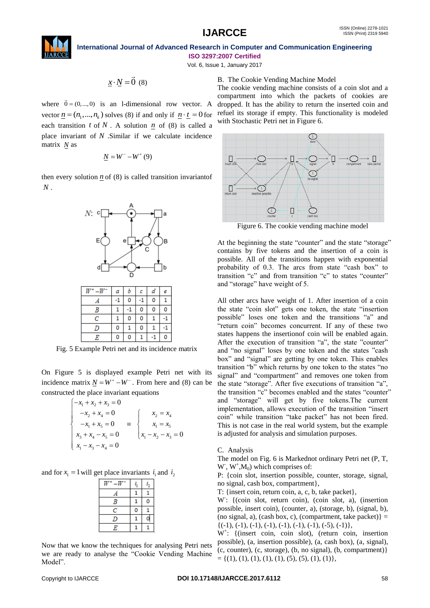

Vol. 6, Issue 1, January 2017

$$
\underline{x} \cdot \underline{N} = \vec{0} \ (8)
$$

where  $\vec{0} = (0, ..., 0)$  is an 1-dimensional row vector. A vector  $\underline{n} = (n_1, ..., n_k)$  solves (8) if and only if  $\underline{n} \cdot \underline{t} = 0$  for each transition  $t$  of  $N$ . A solution  $n \neq 0$  of (8) is called a place invariant of *N* .Similar if we calculate incidence matrix *N* as

$$
\underline{N} = W^- - W^+ (9)
$$

then every solution  $n \neq 0$  (8) is called transition invariantof *N* .



Fig. 5 Example Petri net and its incidence matrix

On Figure 5 is displayed example Petri net with its incidence matrix  $N = W^+ - W^-$ . From here and (8) can be constructed the place invariant equations<br> $\begin{cases} -x_1 + x_2 + x_3 = 0 \end{cases}$ 

$$
\begin{cases}\n-x_1 + x_2 + x_3 = 0 \\
-x_2 + x_4 = 0 \\
-x_1 + x_5 = 0 \\
x_3 + x_4 - x_5 = 0\n\end{cases} \equiv \begin{cases}\nx_2 = x_4 \\
x_1 = x_5 \\
x_1 - x_2 - x_3 = 0\n\end{cases}
$$

and for  $x_1 = 1$  will get place invariants  $i_1$  and  $i_2$ 

|                | 1 |   |
|----------------|---|---|
| $\overline{B}$ | 1 | 0 |
| С              | 0 |   |
| IJ             | 1 |   |
| E              |   |   |

Now that we know the techniques for analysing Petri nets we are ready to analyse the "Cookie Vending Machine Model".

The cookie vending machine consists of a coin slot and a compartment into which the packets of cookies are dropped. It has the ability to return the inserted coin and refuel its storage if empty. This functionality is modeled with Stochastic Petri net in Figure 6.



Figure 6. The cookie vending machine model

At the beginning the state "counter" and the state "storage" contains by five tokens and the insertion of a coin is possible. All of the transitions happen with exponential probability of 0.3. The arcs from state "cash box" to transition "c" and from transition "c" to states "counter" and "storage" have weight of 5.

Every 2.18. column that is the column of the state of the state of the state of the state of the state of the state of the state of the state of the state of the state of the state of the state of the state of the state o All other arcs have weight of 1. After insertion of a coin the state "coin slot" gets one token, the state "insertion possible" loses one token and the transitions "a" and "return coin" becomes concurrent. If any of these two states happens the insertionof coin will be enabled again. After the execution of transition "a", the state "counter" and "no signal" loses by one token and the states "cash box" and "signal" are getting by one token. This enables transition "b" which returns by one token to the states "no signal" and "compartment" and removes one token from the state "storage". After five executions of transition "a", the transition "c" becomes enabled and the states "counter" and "storage" will get by five tokens.The current implementation, allows execution of the transition "insert coin" while transition "take packet" has not been fired. This is not case in the real world system, but the example is adjusted for analysis and simulation purposes.

C. Analysis

The model on Fig. 6 is Markednot ordinary Petri net (P, T,  $W$ ,  $W$ <sup>+</sup>, $M_0$ ) which comprises of:

P: {coin slot, insertion possible, counter, storage, signal, no signal, cash box, compartment},

T: {insert coin, return coin, a, c, b, take packet},

W: {(coin slot, return coin), (coin slot, a), (insertion possible, insert coin), (counter, a), (storage, b), (signal, b), (no signal, a), (cash box, c), (compartment, take packet)} =  $\{(-1), (-1), (-1), (-1), (-1), (-1), (-1), (-5), (-1)\},\$ 

W<sup>+</sup> : {(insert coin, coin slot), (return coin, insertion possible), (a, insertion possible), (a, cash box), (a, signal), (c, counter), (c, storage), (b, no signal), (b, compartment)}  $= \{(1), (1), (1), (1), (1), (5), (5), (1), (1)\},\$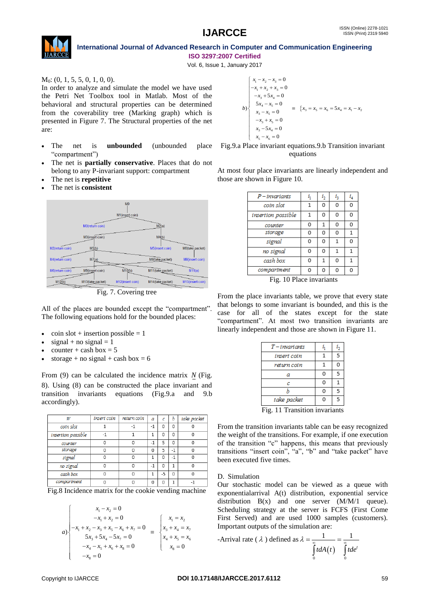

Vol. 6, Issue 1, January 2017

 $M_0$ : (0, 1, 5, 5, 0, 1, 0, 0).

In order to analyze and simulate the model we have used the Petri Net Toolbox tool in Matlab. Most of the behavioral and structural properties can be determined from the coverability tree (Marking graph) which is presented in Figure 7. The Structural properties of the net are:

- The net is **unbounded** (unbounded place "compartment")
- The net is **partially conservative**. Places that do not belong to any P-invariant support: compartment
- The net is **repetitive**
- The net is **consistent**



Fig. 7. Covering tree

All of the places are bounded except the "compartment". The following equations hold for the bounded places:

- $\cosh s$  = 1  $\sinh s$
- $signal + no signal = 1$
- counter + cash box =  $5$
- storage + no signal + cash box =  $6$

From (9) can be calculated the incidence matrix N (Fig. 8). Using (8) can be constructed the place invariant and transition invariants equations (Fig.9.a and 9.b accordingly).

| W                  | insert coin | return coin | a    | c    | b        | take packet |
|--------------------|-------------|-------------|------|------|----------|-------------|
| coin slot          |             | -1          | $-1$ | 0    | 0        | n           |
| insertion possible | $-1$        |             |      | 0    | 0        | O           |
| counter            |             | 0           | $-1$ | 5    | 0        | n           |
| storage            | n           | 0           | 0    | 5    | $-1$     | n           |
| signal             | n           | 0           |      | 0    | $-1$     | n           |
| no signal          | O           | 0           | $-1$ | 0    |          | n           |
| cash box           | 0           | 0           |      | $-5$ | $\Omega$ | n           |
| compartment        |             | ი           | O    | O    |          |             |

Fig.8 Incidence matrix for the cookie vending machine

$$
a) \begin{cases} x_1 - x_2 = 0 \\ -x_1 + x_2 = 0 \\ -x_1 + x_2 - x_3 + x_5 - x_6 + x_7 = 0 \\ 5x_3 + 5x_4 - 5x_7 = 0 \\ -x_4 - x_5 + x_6 + x_8 = 0 \end{cases} \equiv \begin{cases} x_1 = x_2 \\ x_3 + x_4 = x_7 \\ x_4 + x_5 = x_6 \\ x_8 = 0 \end{cases}
$$

$$
b) \begin{cases} x_1 - x_2 - x_3 = 0 \\ -x_1 + x_2 + x_3 = 0 \\ -x_3 + 5x_4 = 0 \\ 5x_4 - x_5 = 0 \\ x_3 - x_5 = 0 \\ -x_3 + x_5 = 0 \\ x_3 - 5x_4 = 0 \\ x_5 - x_6 = 0 \end{cases} \equiv \{x_3 = x_5 = x_6 = 5x_4 = x_1 - x_2
$$

Fig.9.a Place invariant equations.9.b Transition invariant equations

At most four place invariants are linearly independent and those are shown in Figure 10.

| $P - invariants$     | i, | i, | i, | i,           |
|----------------------|----|----|----|--------------|
| coin slot            | 1  | 0  | 0  | O            |
| insertion possible   | 1  | 0  | 0  | 0            |
| counter              | 0  | 1  | 0  | 0            |
| storage              | 0  | O  | 0  | $\mathbf{1}$ |
| signal               | 0  | o  | 1  | $\Omega$     |
| no signal            | 0  | 0  | 1  | 1            |
| cash box             | 0  | 1  | 0  | $\mathbf{1}$ |
| compartment          | O  | O  | O  | 0            |
| $\sim$ $\sim$ $\sim$ |    |    |    |              |

Fig. 10 Place invariants

From the place invariants table, we prove that every state that belongs to some invariant is bounded, and this is the case for all of the states except for the state "compartment". At most two transition invariants are linearly independent and those are shown in Figure 11.

| $T - invariants$   |          | ι, |
|--------------------|----------|----|
| insert coin        |          | 5  |
| return coin        |          | O  |
| а                  | 0        | 5  |
| c                  | 0        |    |
|                    | 0        | 5  |
| take packet        | $\Omega$ | 5  |
| ۰. ۰<br>÷.<br>11 m |          |    |

Fig. 11 Transition invariants

From the transition invariants table can be easy recognized the weight of the transitions. For example, if one execution of the transition "c" happens, this means that previously transitions "insert coin", "a", "b" and "take packet" have been executed five times.

# D. Simulation

Our stochastic model can be viewed as a queue with exponentialarrival A(t) distribution, exponential service distribution  $B(x)$  and one server  $(M/M/1)$  queue). Scheduling strategy at the server is FCFS (First Come First Served) and are used 1000 samples (customers). Important outputs of the simulation are:

-Arrival rate (
$$
\lambda
$$
) defined as  $\lambda = \frac{1}{\int_{0}^{\infty} t dA(t)} = \frac{1}{\int_{0}^{\infty} t d e^{t}}$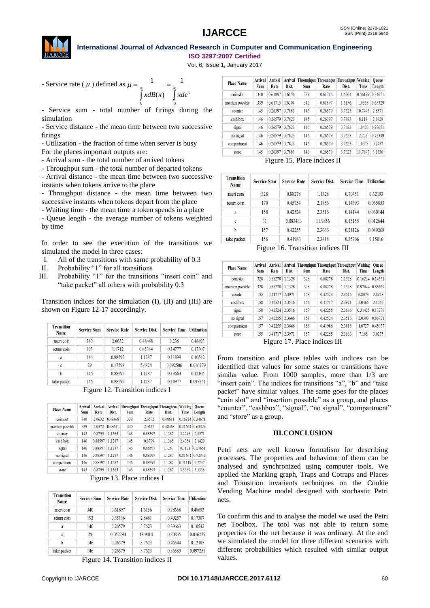

Vol. 6, Issue 1, January 2017

- Service rate (
$$
\mu
$$
) defined as  $\mu = \frac{1}{\int_{0}^{\infty} x dB(x)} = \frac{1}{\int_{0}^{\infty} x de^x}$ 

- Service sum - total number of firings during the simulation

- Service distance - the mean time between two successive firings

- Utilization - the fraction of time when server is busy

For the places important outputs are:

- Arrival sum - the total number of arrived tokens

- Throughput sum - the total number of departed tokens

- Arrival distance - the mean time between two successive instants when tokens arrive to the place

- Throughput distance - the mean time between two successive instants when tokens depart from the place

- Waiting time - the mean time a token spends in a place

- Queue length - the average number of tokens weighted by time

In order to see the execution of the transitions we simulated the model in three cases:

- I. All of the transitions with same probability of 0.3
- II. Probability "1" for all transitions
- III. Probability "1" for the transitions "insert coin" and "take packet" all others with probability 0.3

Transition indices for the simulation (I), (II) and (III) are shown on Figure 12-17 accordingly.

| <b>Transition</b><br>Name | <b>Service Sum</b> | <b>Service Rate</b> | <b>Service Dist.</b> | <b>Service Time</b> | <b>Utilization</b> |
|---------------------------|--------------------|---------------------|----------------------|---------------------|--------------------|
| insert coin               | 340                | 2.0632              | 0.48468              | 0.236               | 0.48693            |
| return coin               | 193                | 1.1712              | 0.85384              | 0.14777             | 0.17307            |
| a                         | 146                | 0.88597             | 1.1287               | 0.11899             | 0.10542            |
| c                         | 29                 | 0.17598             | 5.6824               | 0.092506            | 0.016279           |
| b                         | 146                | 0.88597             | 1.1287               | 0.13663             | 0.12105            |
| take packet               | 146                | 0.88597             | 1.1287               | 0.10977             | 0.097251           |

Figure 12. Transition indices I

| <b>Place Name</b>  | Arrival<br><b>Sum</b> | Arrival<br>Rate | Arrival<br>Dist. | <b>Throughput Throughput Throughput Waiting</b><br><b>Sum</b> | Rate    | Dist.   | Time    | <b>Oueue</b><br>Length |
|--------------------|-----------------------|-----------------|------------------|---------------------------------------------------------------|---------|---------|---------|------------------------|
| coin slot          | 340                   | 2.0632          | 0.48468          | 339                                                           | 2.0572  | 0.48611 | 0.16854 | 0.34671                |
| insertion possible | 339                   | 2.0572          | 0.48611          | 340                                                           | 2.0632  | 0.48468 | 0.31664 | 0.65329                |
| counter            | 145                   | 0.8799          | 1.1365           | 146                                                           | 0.88597 | 1.1287  | 3.2248  | 2.8571                 |
| cash box           | 146                   | 0.88597         | 1.1287           | 145                                                           | 0.8799  | 1.1365  | 2.4354  | 2.1429                 |
| signal             | 146                   | 0.88597         | 1.1287           | 146                                                           | 0.88597 | 1.1287  | 0.3121  | 0.27651                |
| no signal          | 146                   | 0.88597         | 1.1287           | 146                                                           | 0.88597 | 1.1287  | 0.81661 | 0.72349                |
| compartment        | 146                   | 0.88597         | 1.1287           | 146                                                           | 0.88597 | 1.1287  | 0.31119 | 0.2757                 |
| store              | 145                   | 0.8799          | 1.1365           | 146                                                           | 0.88597 | 1.1287  | 3.5369  | 3.1336                 |

Figure 13. Place indices I

| <b>Transition</b><br><b>Name</b> | <b>Service Sum</b> | <b>Service Rate</b> | <b>Service Dist.</b> | <b>Service Time</b> | <b>Utilization</b> |
|----------------------------------|--------------------|---------------------|----------------------|---------------------|--------------------|
| insert coin                      | 340                | 0.61897             | 1.6156               | 0.78668             | 0.48693            |
| return com                       | 193                | 0.35136             | 2.8461               | 0.49257             | 0.17307            |
| a                                | 146                | 0.26579             | 3.7623               | 0.39663             | 0.10542            |
| c                                | 29                 | 0.052794            | 18.9414              | 0.30835             | 0.016279           |
| h                                | 146                | 0.26579             | 3.7623               | 0.45544             | 0.12105            |
| take packet                      | 146                | 0.26579             | 3.7623               | 0.36589             | 0.097251           |

Figure 14. Transition indices II

| <b>Place Name</b>  | Arrival<br><b>Sum</b> | Arrival<br>Rate | Dist.  | Arrival Throughput Throughput Throughput Waiting<br><b>Sum</b> | Rate    | Dist.  | <b>Time</b> | <b>Oueue</b><br>Length |
|--------------------|-----------------------|-----------------|--------|----------------------------------------------------------------|---------|--------|-------------|------------------------|
| coin slot          | 340                   | 0.61897         | 1.6156 | 339                                                            | 0.61715 | 1.6204 | 0.56179     | 0.34671                |
| insertion possible | 339                   | 0.61715         | 1.6204 | 340                                                            | 0.61897 | 1.6156 | 1.0555      | 0.65329                |
| counter            | 145                   | 0.26397         | 3.7883 | 146                                                            | 0.26579 | 3.7623 | 10.7493     | 2.8571                 |
| cash box           | 146                   | 0.26579         | 3.7623 | 145                                                            | 0.26397 | 3.7883 | 8.118       | 2.1429                 |
| signal             | 146                   | 0.26579         | 3.7623 | 146                                                            | 0.26579 | 3.7623 | 1.0403      | 0.27651                |
| no signal          | 146                   | 0.26579         | 3.7623 | 146                                                            | 0.26579 | 3.7623 | 2.722       | 0.72349                |
| compartment        | 146                   | 0.26579         | 3.7623 | 146                                                            | 0.26579 | 3.7623 | 1.0373      | 0.2757                 |
| store              | 145                   | 0.26397         | 3.7883 | 146                                                            | 0.26579 | 3.7623 | 11.7897     | 3.1336                 |

Figure 15. Place indices II

| <b>Transition</b><br><b>Name</b> | <b>Service Sum</b> | <b>Service Rate</b> | <b>Service Dist.</b> | <b>Service Time</b> | <b>Utilization</b> |
|----------------------------------|--------------------|---------------------|----------------------|---------------------|--------------------|
| insert coin                      | 328                | 0.88278             | 1.1328               | 0.70451             | 0.62193            |
| return com                       | 170                | 0.45754             | 2.1856               | 0.14393             | 0.065853           |
| a                                | 158                | 0.42524             | 2.3516               | 0.14144             | 0.060144           |
| c                                | 31                 | 0.083433            | 11.9856              | 0.15155             | 0.012644           |
| h                                | 157                | 0.42255             | 2.3666               | 0.21126             | 0.089268           |
| take packet                      | 156                | 0.41986             | 2.3818               | 0.35766             | 0.15016            |

Figure 16. Transition indices III

| <b>Place Name</b>  | Arrival<br><b>Sum</b> | Arrival<br>Rate | Dist.  | Arrival Throughput Throughput Throughput Waiting<br><b>Sum</b> | Rate    | Dist.  | Time            | <b>Oueue</b><br>Length |
|--------------------|-----------------------|-----------------|--------|----------------------------------------------------------------|---------|--------|-----------------|------------------------|
| coin slot          | 328                   | 0.88278         | 1.1328 | 328                                                            | 0.88278 | 1.1328 | 0.16234 0.14331 |                        |
| insertion possible | 328                   | 0.88278         | 1.1328 | 328                                                            | 0.88278 | 1.1328 | 0.97044 0.85669 |                        |
| counter            | 155                   | 0.41717         | 2.3971 | 158                                                            | 0.42524 | 2.3516 | 6.8073          | 2.8948                 |
| cash hox           | 158                   | 0.42524         | 2.3516 | 155                                                            | 0.41717 | 2.3971 | 5.0465          | 2.1052                 |
| signal             | 158                   | 0.42524         | 2.3516 | 157                                                            | 0.42255 | 2.3666 | 0.31425 0.13279 |                        |
| no signal          | 157                   | 0.42255         | 2.3666 | 158                                                            | 0.42524 | 2.3516 | 2.0393          | 0.86721                |
| compartment        | 157                   | 0.42255         | 2.3666 | 156                                                            | 0.41986 | 2.3818 | 1.0727          | 0.45037                |
| store              | 155                   | 0.41717         | 2.3971 | 157                                                            | 0.42255 | 2.3666 | 7.165           | 3.0275                 |

Figure 17. Place indices III

From transition and place tables with indices can be identified that values for some states or transitions have similar value. From 1000 samples, more than 1/3 are "insert coin". The indices for transitions "a", "b" and "take packet" have similar values. The same goes for the places "coin slot" and "insertion possible" as a group, and places "counter", "cashbox", "signal", "no signal", "compartment" and "store" as a group.

#### **III.CONCLUSION**

Petri nets are well known formalism for describing processes. The properties and behaviour of them can be analysed and synchronized using computer tools. We applied the Marking graph, Traps and Cotraps and Places and Transition invariants techniques on the Cookie Vending Machine model designed with stochastic Petri nets.

To confirm this and to analyse the model we used the Petri net Toolbox. The tool was not able to return some properties for the net because it was ordinary. At the end we simulated the model for three different scenarios with different probabilities which resulted with similar output values.